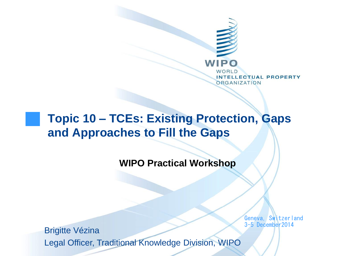

#### **Topic 10 – TCEs: Existing Protection, Gaps and Approaches to Fill the Gaps**

**WIPO Practical Workshop** 

Geneva, Switzerland 3-5 December2014

Brigitte Vézina Legal Officer, Traditional Knowledge Division, WIPO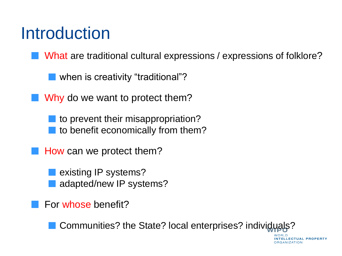#### Introduction

What are traditional cultural expressions / expressions of folklore?

when is creativity "traditional"?

Why do we want to protect them?

to prevent their misappropriation? to benefit economically from them?

How can we protect them?

existing IP systems? adapted/new IP systems?

For whose benefit?

Communities? the State? local enterprises? individuals?

NTELLECTUAL PROPERTY

**ORGANIZATION**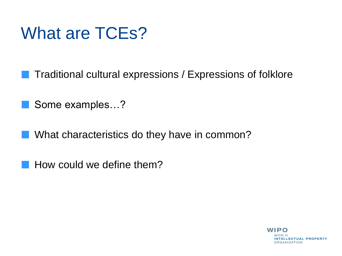#### What are TCEs?

Traditional cultural expressions / Expressions of folklore

Some examples…? **ISBN** 

 $\mathcal{L}_{\mathcal{A}}$ 

What characteristics do they have in common? **College** 

How could we define them?

WIPO **INTELLECTUAL PROPERTY ORGANIZATION**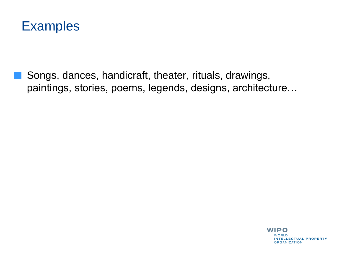

Songs, dances, handicraft, theater, rituals, drawings, paintings, stories, poems, legends, designs, architecture…

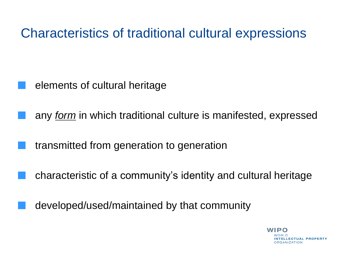Characteristics of traditional cultural expressions

- elements of cultural heritage
- any *form* in which traditional culture is manifested, expressed
- transmitted from generation to generation
- characteristic of a community's identity and cultural heritage
- developed/used/maintained by that community

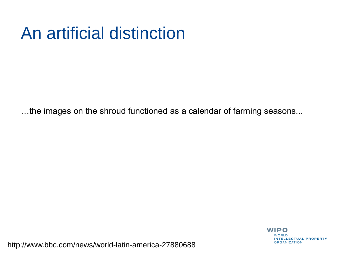#### An artificial distinction

…the images on the shroud functioned as a calendar of farming seasons...



http://www.bbc.com/news/world-latin-america-27880688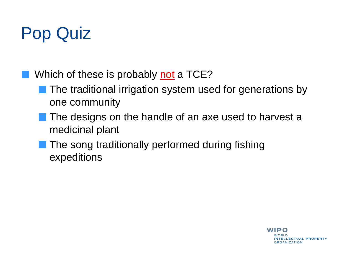## Pop Quiz

Which of these is probably not a TCE?

- The traditional irrigation system used for generations by one community
- The designs on the handle of an axe used to harvest a medicinal plant
- The song traditionally performed during fishing expeditions

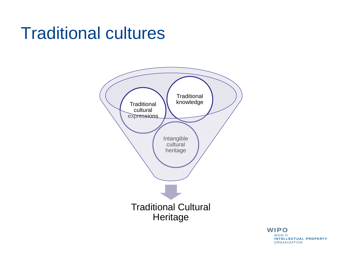#### Traditional cultures



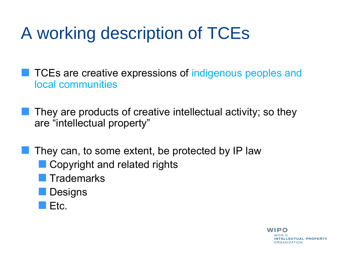## A working description of TCEs

TCEs are creative expressions of indigenous peoples and local communities

They are products of creative intellectual activity; so they are "intellectual property"

They can, to some extent, be protected by IP law

- **Copyright and related rights**
- **Trademarks**
- **Designs**
- Etc.

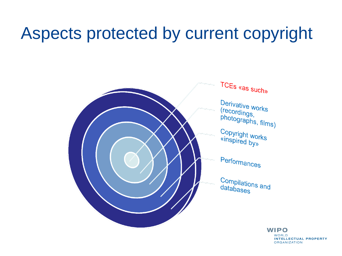#### Aspects protected by current copyright



**WIPO WORLD INTELLECTUAL PROPERTY ORGANIZATION**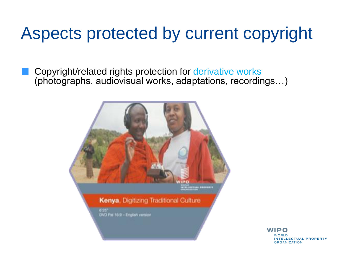#### Aspects protected by current copyright

Copyright/related rights protection for derivative works (photographs, audiovisual works, adaptations, recordings…)



WIPO **NOBID INTELLECTUAL PROPERTY ORGANIZATION**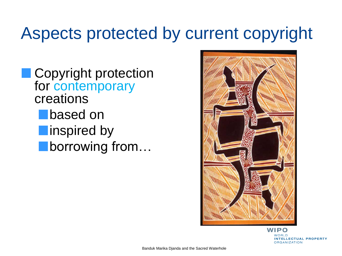#### Aspects protected by current copyright

**Copyright protection** for contemporary creations **based on n**inspired by **borrowing from...** 



**WIPO** WORLD **INTELLECTUAL PROPERTY ORGANIZATION**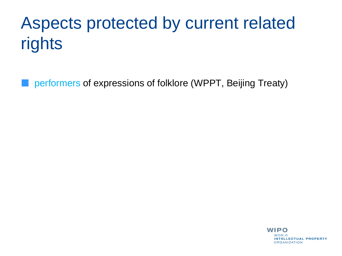# Aspects protected by current related rights

performers of expressions of folklore (WPPT, Beijing Treaty)

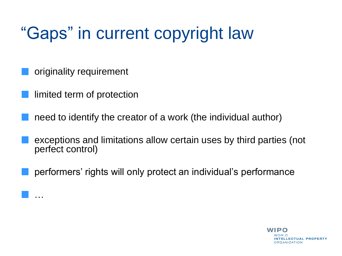## "Gaps" in current copyright law

originality requirement

limited term of protection

…

need to identify the creator of a work (the individual author)

exceptions and limitations allow certain uses by third parties (not perfect control)

performers' rights will only protect an individual's performance

WIPO NTELLECTUAL PROPERTY **ORGANIZATION**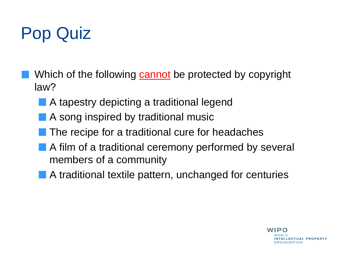## Pop Quiz

- Which of the following cannot be protected by copyright law?
	- A tapestry depicting a traditional legend
	- A song inspired by traditional music
	- The recipe for a traditional cure for headaches
	- A film of a traditional ceremony performed by several members of a community
	- **A** traditional textile pattern, unchanged for centuries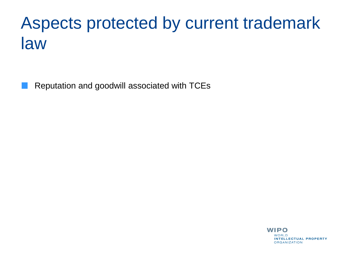#### Aspects protected by current trademark law

Reputation and goodwill associated with TCEs

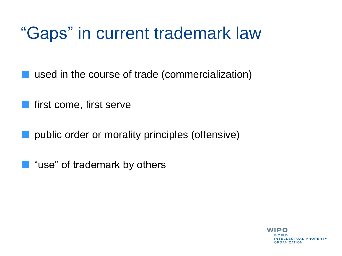#### "Gaps" in current trademark law

used in the course of trade (commercialization)

first come, first serve

public order or morality principles (offensive)

"use" of trademark by others**College** 

> WIPO **NTELLECTUAL PROPERTY ORGANIZATION**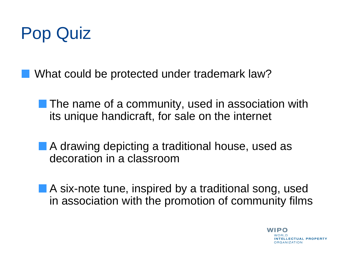

What could be protected under trademark law?

**The name of a community, used in association with** its unique handicraft, for sale on the internet

**A** drawing depicting a traditional house, used as decoration in a classroom

A six-note tune, inspired by a traditional song, used in association with the promotion of community films

> WIPO **ELLECTUAL PROPERTY RGANIZATION**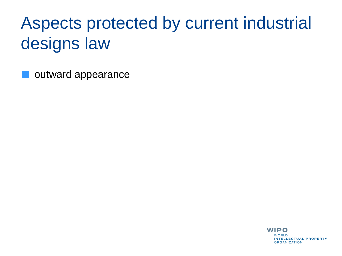## Aspects protected by current industrial designs law

outward appearance

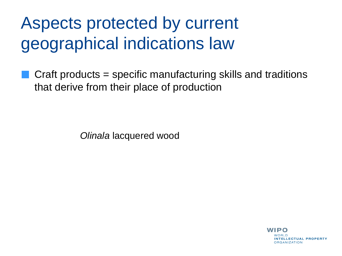#### Aspects protected by current geographical indications law

Craft products = specific manufacturing skills and traditions that derive from their place of production

*Olinala* lacquered wood

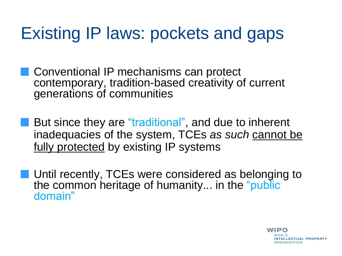#### Existing IP laws: pockets and gaps

**Conventional IP mechanisms can protect** contemporary, tradition-based creativity of current generations of communities

- But since they are "traditional", and due to inherent inadequacies of the system, TCEs *as such* cannot be fully protected by existing IP systems
- **Until recently, TCEs were considered as belonging to** the common heritage of humanity... in the "public domain"

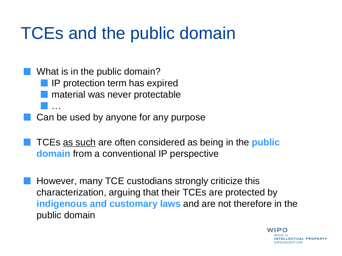#### TCEs and the public domain

What is in the public domain? IP protection term has expired material was never protectable …

Can be used by anyone for any purpose

TCEs as such are often considered as being in the **public domain** from a conventional IP perspective

However, many TCE custodians strongly criticize this characterization, arguing that their TCEs are protected by **indigenous and customary laws** and are not therefore in the public domain

> WIPO **NTELLECTUAL PROPERTY DRGANIZATION**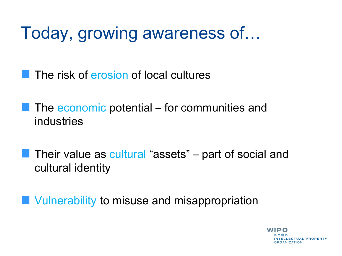#### Today, growing awareness of…

The risk of erosion of local cultures

The economic potential – for communities and industries

Their value as cultural "assets" – part of social and cultural identity

Vulnerability to misuse and misappropriation

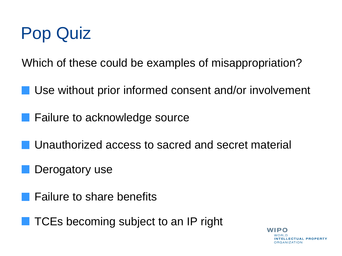

Which of these could be examples of misappropriation?

Use without prior informed consent and/or involvement

**Failure to acknowledge source** 

Unauthorized access to sacred and secret material

Derogatory use

Failure to share benefits

TCEs becoming subject to an IP right

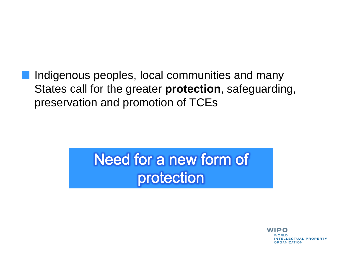Indigenous peoples, local communities and many States call for the greater **protection**, safeguarding, preservation and promotion of TCEs

#### Need for a new form of protection

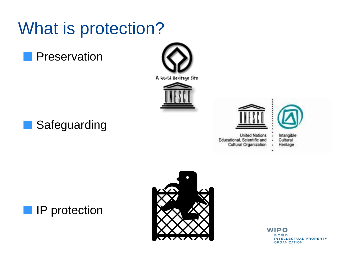#### What is protection?

Preservation

**Safeguarding** 













**IP** protection



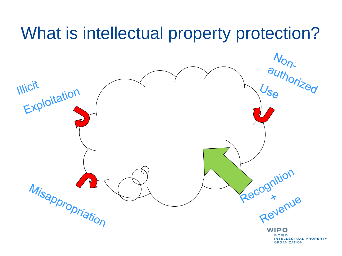#### What is intellectual property protection?

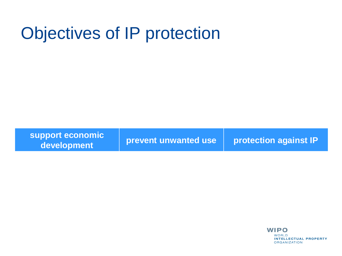#### Objectives of IP protection

**support economic development prevent unwanted use protection against IP**

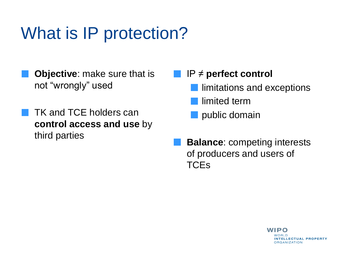#### What is IP protection?

- **Objective**: make sure that is not "wrongly" used
- TK and TCE holders can **control access and use** by third parties

#### IP ≠ **perfect control**

- limitations and exceptions
- limited term
- public domain
- **Balance**: competing interests of producers and users of **TCEs**

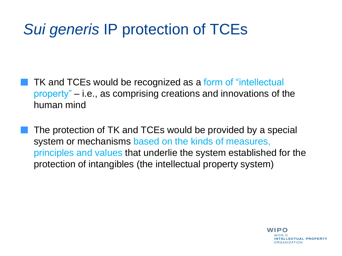#### *Sui generis* IP protection of TCEs

TK and TCEs would be recognized as a form of "intellectual property" – i.e., as comprising creations and innovations of the human mind

The protection of TK and TCEs would be provided by a special system or mechanisms based on the kinds of measures, principles and values that underlie the system established for the protection of intangibles (the intellectual property system)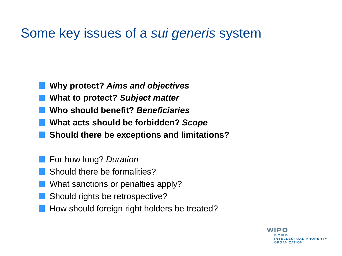#### Some key issues of a *sui generis* system

- **Why protect?** *Aims and objectives*
- **What to protect?** *Subject matter*
- **Who should benefit?** *Beneficiaries*
- **What acts should be forbidden?** *Scope*
- **Should there be exceptions and limitations?**
- For how long? *Duration*
- Should there be formalities?
- What sanctions or penalties apply?
- Should rights be retrospective?
- How should foreign right holders be treated?

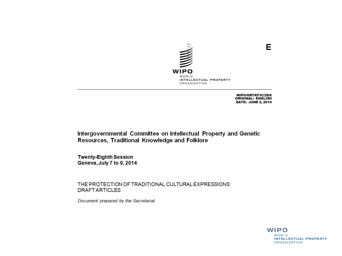

WIPO/GRTKF/IC/28/6 **ORIGINAL: ENGLISH DATE: JUNE 2, 2014** 

Е

Intergovernmental Committee on Intellectual Property and Genetic Resources, Traditional Knowledge and Folklore

**Twenty-Eighth Session** Geneva, July 7 to 9, 2014

THE PROTECTION OF TRADITIONAL CULTURAL EXPRESSIONS: **DRAFT ARTICLES** 

Document prepared by the Secretariat

**WIPO WORLD INTELLECTUAL PROPERTY ORGANIZATION**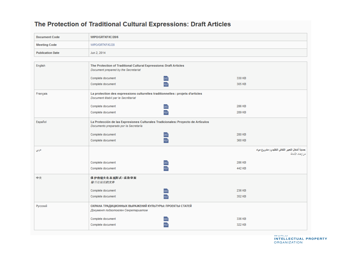#### The Protection of Traditional Cultural Expressions: Draft Articles

| <b>Document Code</b>    | WIPO/GRTKF/IC/28/6                                                                                                        |        |
|-------------------------|---------------------------------------------------------------------------------------------------------------------------|--------|
| <b>Meeting Code</b>     | WIPO/GRTKF/IC/28                                                                                                          |        |
| <b>Publication Date</b> | Jun 2, 2014                                                                                                               |        |
|                         |                                                                                                                           |        |
| English                 | The Protection of Traditional Cultural Expressions: Draft Articles<br>Document prepared by the Secretariat                |        |
|                         | Complete document<br><b>DOC</b>                                                                                           | 330 KB |
|                         | Complete document<br>PDF                                                                                                  | 305 KB |
| Français                | La protection des expressions culturelles traditionnelles : projets d'articles<br>Document établi par le Secrétariat      |        |
|                         | Complete document<br>DOČ                                                                                                  | 286 KB |
|                         | PDF<br>Complete document                                                                                                  | 289 KB |
| Español                 | La Protección de las Expresiones Culturales Tradicionales: Proyecto de Artículos<br>Documento preparado por la Secretaría |        |
|                         | Complete document<br>DOC                                                                                                  | 280 KB |
|                         | PDF<br>Complete document                                                                                                  | 360 KB |
| عربي                    | حماية أشكال التعيير الثقافي التقليدي: مشروع مواد<br><i>من إعداد الأمانة</i>                                               |        |
|                         | Complete document<br>poč                                                                                                  | 286 KB |
|                         | PDF<br>Complete document                                                                                                  | 442 KB |
| 中文                      | 保护传统文化表现形式:系款草案<br>秘书处编拟的文件                                                                                               |        |
|                         | Complete document<br>DOC                                                                                                  | 236 KB |
|                         | Complete document<br>PDF                                                                                                  | 352 KB |
| Русский                 | ОХРАНА ТРАДИЦИОННЫХ ВЫРАЖЕНИЙ КУЛЬТУРЫ: ПРОЕКТЫ СТАТЕЙ<br>Документ подготовлен Секретариатом                              |        |
|                         | Complete document<br>DOC                                                                                                  | 336 KB |
|                         | Complete document<br>PDF                                                                                                  | 322 KB |

WUNLU INTELLECTUAL PROPERTY **ORGANIZATION**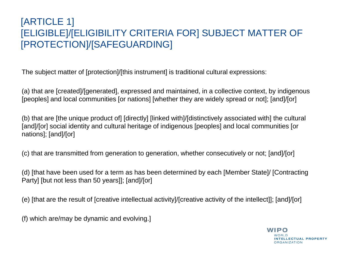#### [ARTICLE 1] [ELIGIBLE]/[ELIGIBILITY CRITERIA FOR] SUBJECT MATTER OF [PROTECTION]/[SAFEGUARDING]

The subject matter of [protection]/[this instrument] is traditional cultural expressions:

(a) that are [created]/[generated], expressed and maintained, in a collective context, by indigenous [peoples] and local communities [or nations] [whether they are widely spread or not]; [and]/[or]

(b) that are [the unique product of] [directly] [linked with]/[distinctively associated with] the cultural [and]/[or] social identity and cultural heritage of indigenous [peoples] and local communities [or nations]; [and]/[or]

(c) that are transmitted from generation to generation, whether consecutively or not; [and]/[or]

(d) [that have been used for a term as has been determined by each [Member State]/ [Contracting Party] [but not less than 50 years]]; [and]/[or]

(e) [that are the result of [creative intellectual activity]/[creative activity of the intellect]]; [and]/[or]

(f) which are/may be dynamic and evolving.]